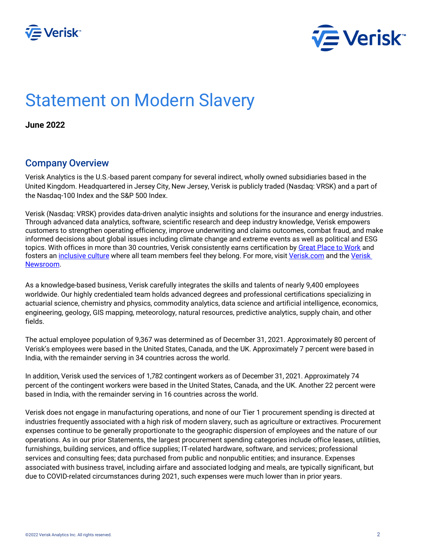



# Statement on Modern Slavery

**June 2022**

#### Company Overview

Verisk Analytics is the U.S.-based parent company for several indirect, wholly owned subsidiaries based in the United Kingdom. Headquartered in Jersey City, New Jersey, Verisk is publicly traded (Nasdaq: VRSK) and a part of the Nasdaq-100 Index and the S&P 500 Index.

Verisk (Nasdaq: VRSK) provides data-driven analytic insights and solutions for the insurance and energy industries. Through advanced data analytics, software, scientific research and deep industry knowledge, Verisk empowers customers to strengthen operating efficiency, improve underwriting and claims outcomes, combat fraud, and make informed decisions about global issues including climate change and extreme events as well as political and ESG topics. With offices in more than 30 countries, Verisk consistently earns certification by [Great Place to Work](https://www.greatplacetowork.com/certified-company/1288593) and fosters an [inclusive culture](https://www.verisk.com/about/inclusion-diversity-belonging/) where all team members feel they belong. For more, visit [Verisk.com](https://www.verisk.com/) and the Verisk [Newsroom.](https://www.verisk.com/newsroom/)

As a knowledge-based business, Verisk carefully integrates the skills and talents of nearly 9,400 employees worldwide. Our highly credentialed team holds advanced degrees and professional certifications specializing in actuarial science, chemistry and physics, commodity analytics, data science and artificial intelligence, economics, engineering, geology, GIS mapping, meteorology, natural resources, predictive analytics, supply chain, and other fields.

The actual employee population of 9,367 was determined as of December 31, 2021. Approximately 80 percent of Verisk's employees were based in the United States, Canada, and the UK. Approximately 7 percent were based in India, with the remainder serving in 34 countries across the world.

In addition, Verisk used the services of 1,782 contingent workers as of December 31, 2021. Approximately 74 percent of the contingent workers were based in the United States, Canada, and the UK. Another 22 percent were based in India, with the remainder serving in 16 countries across the world.

Verisk does not engage in manufacturing operations, and none of our Tier 1 procurement spending is directed at industries frequently associated with a high risk of modern slavery, such as agriculture or extractives. Procurement expenses continue to be generally proportionate to the geographic dispersion of employees and the nature of our operations. As in our prior Statements, the largest procurement spending categories include office leases, utilities, furnishings, building services, and office supplies; IT-related hardware, software, and services; professional services and consulting fees; data purchased from public and nonpublic entities; and insurance. Expenses associated with business travel, including airfare and associated lodging and meals, are typically significant, but due to COVID-related circumstances during 2021, such expenses were much lower than in prior years.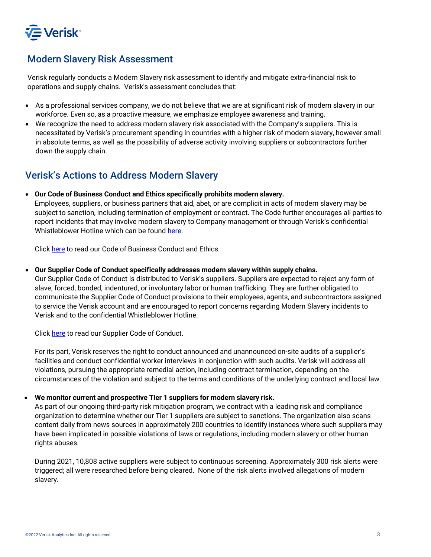

# Modern Slavery Risk Assessment

Verisk regularly conducts a Modern Slavery risk assessment to identify and mitigate extra-financial risk to operations and supply chains. Verisk's assessment concludes that:

- As a professional services company, we do not believe that we are at significant risk of modern slavery in our workforce. Even so, as a proactive measure, we emphasize employee awareness and training.
- We recognize the need to address modern slavery risk associated with the Company's suppliers. This is necessitated by Verisk's procurement spending in countries with a higher risk of modern slavery, however small in absolute terms, as well as the possibility of adverse activity involving suppliers or subcontractors further down the supply chain.

# Verisk's Actions to Address Modern Slavery

• **Our Code of Business Conduct and Ethics specifically prohibits modern slavery.**

Employees, suppliers, or business partners that aid, abet, or are complicit in acts of modern slavery may be subject to sanction, including termination of employment or contract. The Code further encourages all parties to report incidents that may involve modern slavery to Company management or through Verisk's confidential Whistleblower Hotline which can be found [here.](https://secure.ethicspoint.com/domain/media/en/gui/77926/index.html)

Click [here](https://s29.q4cdn.com/767340216/files/doc_downloads/gov_docs/Verisk-Code-of-Business-Conduct-and-Ethics.pdf) to read our Code of Business Conduct and Ethics.

• **Our Supplier Code of Conduct specifically addresses modern slavery within supply chains.**

Our Supplier Code of Conduct is distributed to Verisk's suppliers. Suppliers are expected to reject any form of slave, forced, bonded, indentured, or involuntary labor or human trafficking. They are further obligated to communicate the Supplier Code of Conduct provisions to their employees, agents, and subcontractors assigned to service the Verisk account and are encouraged to report concerns regarding Modern Slavery incidents to Verisk and to the confidential Whistleblower Hotline.

Click [here](https://s24.q4cdn.com/609949474/files/governance_docs/Supplier-Code-of-Conduct.pdf) to read our Supplier Code of Conduct.

For its part, Verisk reserves the right to conduct announced and unannounced on-site audits of a supplier's facilities and conduct confidential worker interviews in conjunction with such audits. Verisk will address all violations, pursuing the appropriate remedial action, including contract termination, depending on the circumstances of the violation and subject to the terms and conditions of the underlying contract and local law.

#### • **We monitor current and prospective Tier 1 suppliers for modern slavery risk.**

As part of our ongoing third-party risk mitigation program, we contract with a leading risk and compliance organization to determine whether our Tier 1 suppliers are subject to sanctions. The organization also scans content daily from news sources in approximately 200 countries to identify instances where such suppliers may have been implicated in possible violations of laws or regulations, including modern slavery or other human rights abuses.

During 2021, 10,808 active suppliers were subject to continuous screening. Approximately 300 risk alerts were triggered; all were researched before being cleared. None of the risk alerts involved allegations of modern slavery.